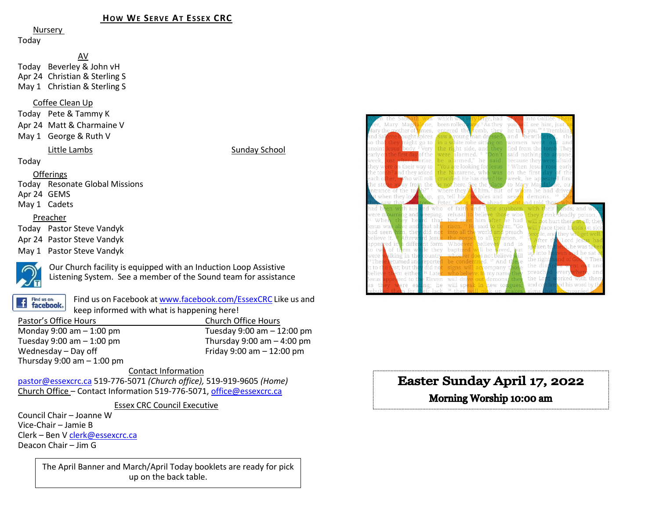### **HOW WE SERVE AT ESSEX CRC**

Nursery

Today

AV Today Beverley & John vH Apr 24 Christian & Sterling S May 1 Christian & Sterling S

#### Coffee Clean Up

Today Pete & Tammy K Apr 24 Matt & Charmaine V

May 1 George & Ruth V

#### Little Lambs Sunday School

Today

#### Offerings

Today Resonate Global Missions Apr 24 GEMS

May 1 Cadets

#### Preacher

Today Pastor Steve Vandyk

Apr 24 Pastor Steve Vandyk

May 1 Pastor Steve Vandyk



Our Church facility is equipped with an Induction Loop Assistive Listening System. See a member of the Sound team for assistance

Find us on: **facebook**  Find us on Facebook a[t www.facebook.com/EssexCRC](http://www.facebook.com/EssexCRC) Like us and keep informed with what is happening here!

| Pastor's Office Hours         | Church Office Hours            |
|-------------------------------|--------------------------------|
| Monday 9:00 am $-$ 1:00 pm    | Tuesday $9:00$ am $-12:00$ pm  |
| Tuesday 9:00 am $-$ 1:00 pm   | Thursday $9:00$ am $-$ 4:00 pm |
| Wednesday - Day off           | Friday 9:00 am $-$ 12:00 pm    |
| Thursday $9:00$ am $-1:00$ pm |                                |

#### Contact Information

[pastor@essexcrc.ca](mailto:pastor@essexcrc.ca) 519-776-5071 *(Church office),* 519-919-9605 *(Home)* Church Office – Contact Information 519-776-5071[, office@essexcrc.ca](mailto:office@essexcrc.ca)

Essex CRC Council Executive

Council Chair – Joanne W Vice-Chair – Jamie B Clerk – Ben V [clerk@essexcrc.ca](mailto:clerk@essexcrc.ca) Deacon Chair – Jim G

> The April Banner and March/April Today booklets are ready for pick up on the back table.



# Easter Sunday April 17, 2022

# Morning Worship 10:00 am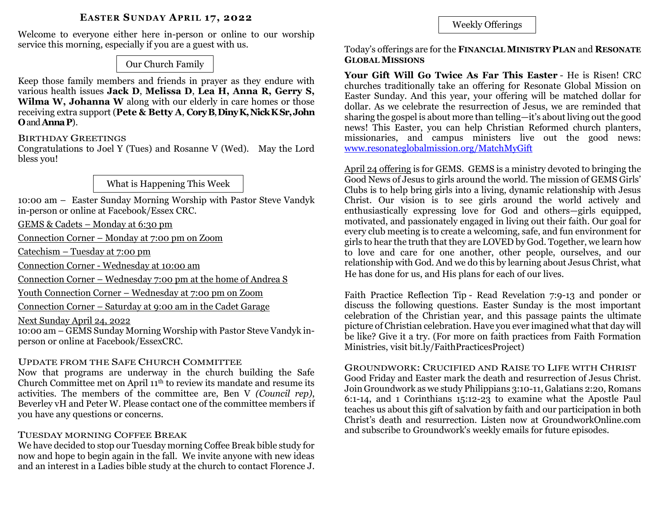### **EASTER SUNDAY APRIL 17, 2022**

Welcome to everyone either here in-person or online to our worship service this morning, especially if you are a guest with us.

Our Church Family

Keep those family members and friends in prayer as they endure with various health issues **Jack D**, **Melissa D**, **Lea H, Anna R, Gerry S, Wilma W, Johanna W** along with our elderly in care homes or those receiving extra support (**Pete & Betty A**, **CoryB**, **DinyK, Nick KSr,John O**and **AnnaP**).

### BIRTHDAY GREETINGS

Congratulations to Joel Y (Tues) and Rosanne V (Wed). May the Lord bless you!

### What is Happening This Week

10:00 am – Easter Sunday Morning Worship with Pastor Steve Vandyk in-person or online at Facebook/Essex CRC.

GEMS & Cadets – Monday at 6:30 pm

Connection Corner – Monday at 7:00 pm on Zoom

Catechism – Tuesday at 7:00 pm

Connection Corner - Wednesday at 10:00 am

Connection Corner – Wednesday 7:00 pm at the home of Andrea S

Youth Connection Corner – Wednesday at 7:00 pm on Zoom

Connection Corner – Saturday at 9:00 am in the Cadet Garage

Next Sunday April 24, 2022

10:00 am – GEMS Sunday Morning Worship with Pastor Steve Vandyk inperson or online at Facebook/EssexCRC.

### UPDATE FROM THE SAFE CHURCH COMMITTEE

Now that programs are underway in the church building the Safe Church Committee met on April 11th to review its mandate and resume its activities. The members of the committee are, Ben V *(Council rep)*, Beverley vH and Peter W. Please contact one of the committee members if you have any questions or concerns.

### TUESDAY MORNING COFFEE BREAK

We have decided to stop our Tuesday morning Coffee Break bible study for now and hope to begin again in the fall. We invite anyone with new ideas and an interest in a Ladies bible study at the church to contact Florence J. Weekly Offerings

Today's offerings are for the **FINANCIAL MINISTRY PLAN** and **RESONATE GLOBAL MISSIONS**

**Your Gift Will Go Twice As Far This Easter** - He is Risen! CRC churches traditionally take an offering for Resonate Global Mission on Easter Sunday. And this year, your offering will be matched dollar for dollar. As we celebrate the resurrection of Jesus, we are reminded that sharing the gospel is about more than telling—it's about living out the good news! This Easter, you can help Christian Reformed church planters, missionaries, and campus ministers live out the good news: [www.resonateglobalmission.org/MatchMyGift](http://www.resonateglobalmission.org/MatchMyGift)

April 24 offering is for GEMS. GEMS is a ministry devoted to bringing the Good News of Jesus to girls around the world. The mission of GEMS Girls' Clubs is to help bring girls into a living, dynamic relationship with Jesus Christ. Our vision is to see girls around the world actively and enthusiastically expressing love for God and others—girls equipped, motivated, and passionately engaged in living out their faith. Our goal for every club meeting is to create a welcoming, safe, and fun environment for girls to hear the truth that they are LOVED by God. Together, we learn how to love and care for one another, other people, ourselves, and our relationship with God. And we do this by learning about Jesus Christ, what He has done for us, and His plans for each of our lives.

Faith Practice Reflection Tip - Read Revelation 7:9-13 and ponder or discuss the following questions. Easter Sunday is the most important celebration of the Christian year, and this passage paints the ultimate picture of Christian celebration. Have you ever imagined what that day will be like? Give it a try. (For more on faith practices from Faith Formation Ministries, visit bit.ly/FaithPracticesProject)

#### GROUNDWORK: CRUCIFIED AND RAISE TO LIFE WITH CHRIST Good Friday and Easter mark the death and resurrection of Jesus Christ. Join Groundwork as we study Philippians 3:10-11, Galatians 2:20, Romans 6:1-14, and 1 Corinthians 15:12-23 to examine what the Apostle Paul teaches us about this gift of salvation by faith and our participation in both Christ's death and resurrection. Listen now at GroundworkOnline.com

and subscribe to Groundwork's weekly emails for future episodes.